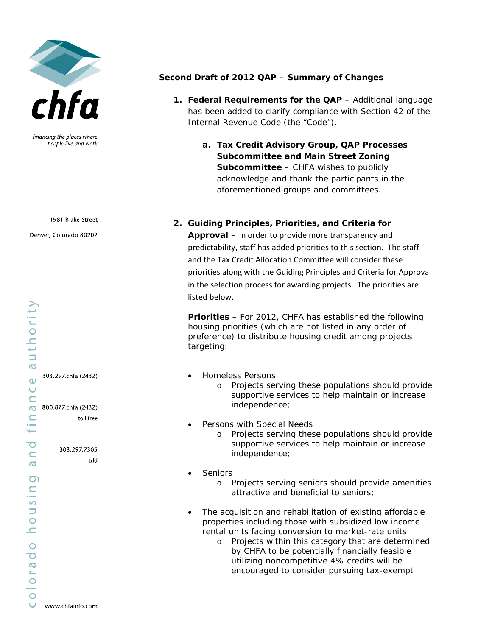

financing the places where people live and work

1981 Blake Street

Denver, Colorado 80202

303.297.chfa (2432)

600.877.chfa (2432) toll free

303.297.7305

tdd

## **Second Draft of 2012 QAP – Summary of Changes**

- **1. Federal Requirements for the QAP** Additional language has been added to clarify compliance with Section 42 of the Internal Revenue Code (the "Code").
	- **a. Tax Credit Advisory Group, QAP Processes Subcommittee and Main Street Zoning Subcommittee** – CHFA wishes to publicly acknowledge and thank the participants in the aforementioned groups and committees.

**2. Guiding Principles, Priorities, and Criteria for Approval** – In order to provide more transparency and predictability, staff has added priorities to this section. The staff and the Tax Credit Allocation Committee will consider these priorities along with the Guiding Principles and Criteria for Approval in the selection process for awarding projects. The priorities are listed below.

**Priorities** – For 2012, CHFA has established the following housing priorities (which are not listed in any order of preference) to distribute housing credit among projects targeting:

- Homeless Persons
	- o Projects serving these populations should provide supportive services to help maintain or increase independence;
- Persons with Special Needs
	- o Projects serving these populations should provide supportive services to help maintain or increase independence;
- **Seniors** 
	- o Projects serving seniors should provide amenities attractive and beneficial to seniors;
- The acquisition and rehabilitation of existing affordable properties including those with subsidized low income rental units facing conversion to market-rate units
	- o Projects within this category that are determined by CHFA to be potentially financially feasible utilizing noncompetitive 4% credits will be encouraged to consider pursuing tax-exempt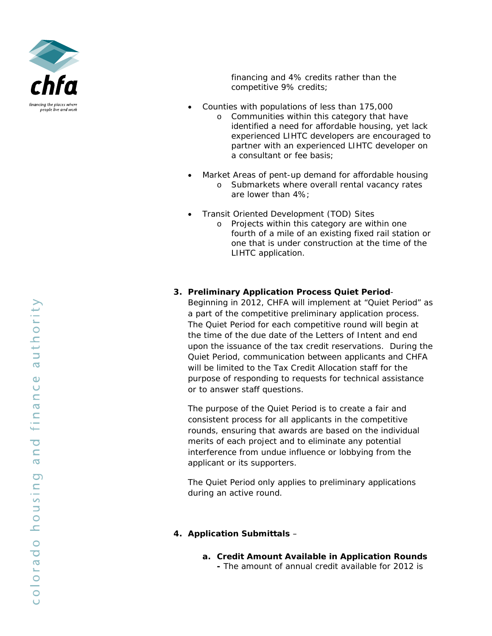

financing and 4% credits rather than the competitive 9% credits;

- Counties with populations of less than 175,000
	- o Communities within this category that have identified a need for affordable housing, yet lack experienced LIHTC developers are encouraged to partner with an experienced LIHTC developer on a consultant or fee basis;
- Market Areas of pent-up demand for affordable housing
	- o Submarkets where overall rental vacancy rates are lower than 4%;
- Transit Oriented Development (TOD) Sites
	- o Projects within this category are within one fourth of a mile of an existing fixed rail station or one that is under construction at the time of the LIHTC application.

## **3. Preliminary Application Process Quiet Period**-

Beginning in 2012, CHFA will implement at "Quiet Period" as a part of the competitive preliminary application process. The Quiet Period for each competitive round will begin at the time of the due date of the Letters of Intent and end upon the issuance of the tax credit reservations. During the Quiet Period, communication between applicants and CHFA will be limited to the Tax Credit Allocation staff for the purpose of responding to requests for technical assistance or to answer staff questions.

The purpose of the Quiet Period is to create a fair and consistent process for all applicants in the competitive rounds, ensuring that awards are based on the individual merits of each project and to eliminate any potential interference from undue influence or lobbying from the applicant or its supporters.

The Quiet Period only applies to preliminary applications during an active round.

## **4. Application Submittals** –

**a. Credit Amount Available in Application Rounds -** The amount of annual credit available for 2012 is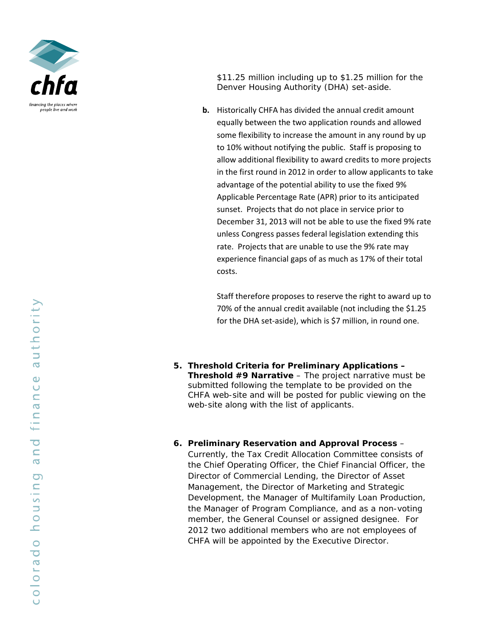

\$11.25 million including up to \$1.25 million for the Denver Housing Authority (DHA) set-aside.

**b.** Historically CHFA has divided the annual credit amount equally between the two application rounds and allowed some flexibility to increase the amount in any round by up to 10% without notifying the public. Staff is proposing to allow additional flexibility to award credits to more projects in the first round in 2012 in order to allow applicants to take advantage of the potential ability to use the fixed 9% Applicable Percentage Rate (APR) prior to its anticipated sunset. Projects that do not place in service prior to December 31, 2013 will not be able to use the fixed 9% rate unless Congress passes federal legislation extending this rate. Projects that are unable to use the 9% rate may experience financial gaps of as much as 17% of their total costs.

Staff therefore proposes to reserve the right to award up to 70% of the annual credit available (not including the \$1.25 for the DHA set‐aside), which is \$7 million, in round one.

- **5. Threshold Criteria for Preliminary Applications Threshold #9 Narrative** – The project narrative must be submitted following the template to be provided on the CHFA web-site and will be posted for public viewing on the web-site along with the list of applicants.
- **6. Preliminary Reservation and Approval Process** Currently, the Tax Credit Allocation Committee consists of the Chief Operating Officer, the Chief Financial Officer, the Director of Commercial Lending, the Director of Asset Management, the Director of Marketing and Strategic Development, the Manager of Multifamily Loan Production, the Manager of Program Compliance, and as a non-voting member, the General Counsel or assigned designee. For 2012 two additional members who are not employees of CHFA will be appointed by the Executive Director.